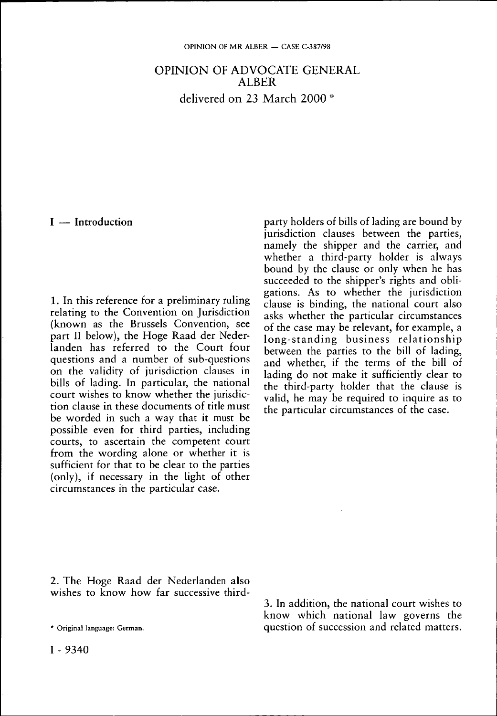OPINION OF ADVOCATE GENERAL ALBER delivered **on** 23 March 2000 \*

# **I** — **Introduction**

1. In this reference for a preliminary ruling relating to the Convention on Jurisdiction (known as the Brussels Convention, see part II below), the Hoge Raad der Nederlanden has referred to the Court four questions and a number of sub-questions on the validity of jurisdiction clauses in bills of lading. In particular, the national court wishes to know whether the jurisdiction clause in these documents of title must be worded in such a way that it must be possible even for third parties, including courts, to ascertain the competent court from the wording alone or whether it is sufficient for that to be clear to the parties (only), if necessary in the light of other circumstances in the particular case.

party holders of bills of lading are bound by jurisdiction clauses between the parties, namely the shipper and the carrier, and whether a third-party holder is always bound by the clause or only when he has succeeded to the shipper's rights and obligations. As to whether the jurisdiction clause is binding, the national court also asks whether the particular circumstances of the case may be relevant, for example, a long-standing business relationship between the parties to the bill of lading, and whether, if the terms of the bill of lading do not make it sufficiently clear to the third-party holder that the clause is valid, he may be required to inquire as to the particular circumstances of the case.

2. The Hoge Raad der Nederlanden also wishes to know how far successive third-

3. In addition, the national court wishes to know which national law governs the \* Originai language: German. question of succession and related matters.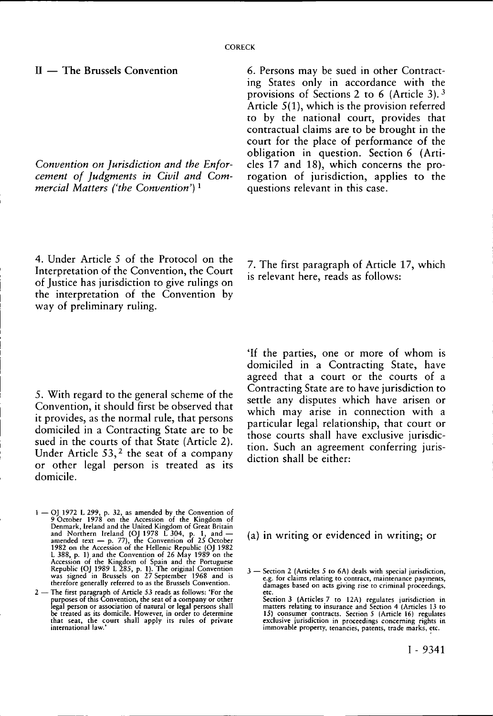$II$  — The Brussels Convention

*Convention on Jurisdiction and the Enforcement of Judgments in Civil and Commercial Matters ('the Convention')* 1

6. Persons may be sued in other Contracting States only in accordance with the provisions of Sections 2 to 6 (Article 3).<sup>3</sup> Article 5(1), which is the provision referred to by the national court, provides that contractual claims are to be brought in the court for the place of performance of the obligation in question. Section 6 (Articles 17 and 18), which concerns the prorogation of jurisdiction, applies to the questions relevant in this case.

4. Under Article 5 of the Protocol on the Interpretation of the Convention, the Court of Justice has jurisdiction to give rulings on the interpretation of the Convention by way of preliminary ruling.

5. With regard to the general scheme of the Convention, it should first be observed that it provides, as the normal rule, that persons domiciled in a Contracting State are to be sued in the courts of that State (Article 2). Under Article 53,<sup>2</sup> the seat of a company or other legal person is treated as its domicile.

- 1 OJ 1972 L 299, p. 32, as amended by the Convention of 9 October 1978 on the Accession of the Kingdom of Creat Britain and Northern Ireland and the United Kingdom of Great Britain and Northern Ireland (OJ 1978 L 304, p
- 2 The first paragraph of Article 53 reads as follows: 'For the P urposes of this Convention, the seat of a company or other legal person or association of natural or legal persons shall be treated as its domicile. However, in order to determine that seat, the court shall apply its rules of private international law.'

7. The first paragraph of Article 17, which is relevant here, reads as follows:

'If the parties, one or more of whom is domiciled in a Contracting State, have agreed that a court or the courts of a Contracting State are to have jurisdiction to settle any disputes which have arisen or which may arise in connection with a particular legal relationship, that court or those courts shall have exclusive jurisdiction. Such an agreement conferring jurisdiction shall be either:

(a) in writing or evidenced in writing; or

<sup>3 —</sup> Section 2 (Articles 5 to 6A) deals with special jurisdiction, e.g. for claims relating to contract, maintenance payments, damages based on acts giving rise to criminal proceedings, etc.

Section 3 (Articles 7 to 12A) regulates jurisdiction in<br>matters relating to insurance and Section 4 (Articles 13 to<br>15) consumer contracts. Section 5 (Article 16) regulates<br>exclusive jurisdiction in proceedings concerning immovable property, tenancies, patents, trade marks, etc.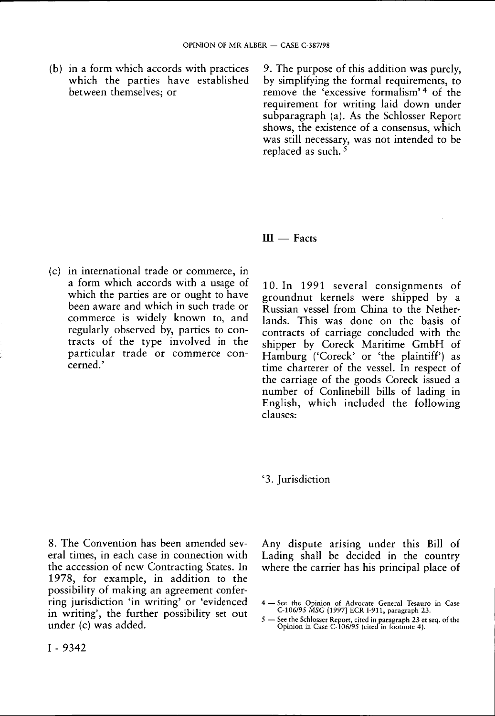(b) in a form which accords with practices which the parties have established between themselves; or

9. The purpose of this addition was purely, by simplifying the formal requirements, to remove the 'excessive formalism' 4 of the requirement for writing laid down under subparagraph (a). As the Schlosser Report shows, the existence of a consensus, which was still necessary, was not intended to be replaced as such. 5

 $II$  — Facts

(c) in international trade or commerce, in a form which accords with a usage of which the parties are or ought to have been aware and which in such trade or commerce is widely known to, and regularly observed by, parties to contracts of the type involved in the particular trade or commerce concerned.'

10. In 1991 several consignments of groundnut kernels were shipped by a Russian vessel from China to the Netherlands. This was done on the basis of contracts of carriage concluded with the shipper by Coreck Maritime GmbH of Hamburg ('Coreck' or 'the plaintiff') as time charterer of the vessel. In respect of the carriage of the goods Coreck issued a number of Conlinebill bills of lading in English, which included the following clauses:

'3. Jurisdiction

8. The Convention has been amended several times, in each case in connection with the accession of new Contracting States. In 1978, for example, in addition to the possibility of making an agreement conferring jurisdiction 'in writing' or 'evidenced in writing', the further possibility set out under (c) was added.

Any dispute arising under this Bill of Lading shall be decided in the country where the carrier has his principal place of

5 — See the Schlosser Report, cited in paragraph 23 et seq. of the Opinion in Case C-106/95 (cited in footnote 4).

I - 9342

<sup>4 —</sup> See the Opinion of Advocate General Tesauro in Case C-106/95 *MSC* [1997] ECR I-911, paragraph 23.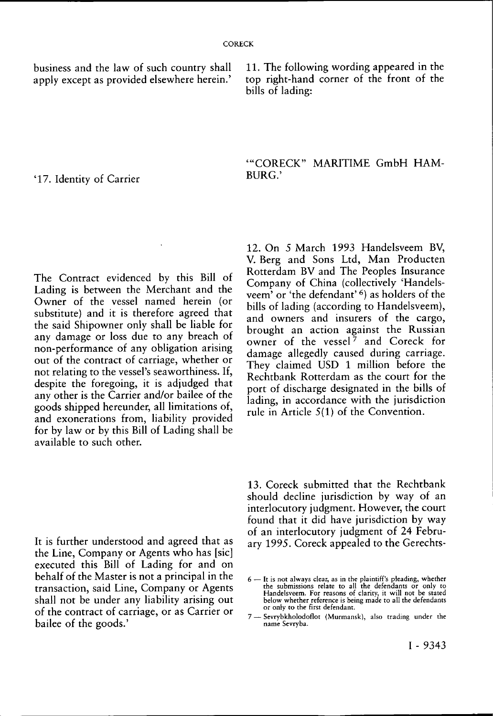business and the law of such country shall apply except as provided elsewhere herein.' 11. The following wording appeared in the top right-hand corner of the front of the bills of lading:

'17. Identity of Carrier

# '"CORECK" MARITIME GmbH HAM-BURG.'

The Contract evidenced by this Bill of Lading is between the Merchant and the Owner of the vessel named herein (or substitute) and it is therefore agreed that the said Shipowner only shall be liable for any damage or loss due to any breach of non-performance of any obligation arising out of the contract of carriage, whether or not relating to the vessel's seaworthiness. If, despite the foregoing, it is adjudged that any other is the Carrier and/or bailee of the goods shipped hereunder, all limitations of, and exonerations from, liability provided for by law or by this Bill of Lading shall be available to such other.

It is further understood and agreed that as the Line, Company or Agents who has [sic] executed this Bill of Lading for and on behalf of the Master is not a principal in the transaction, said Line, Company or Agents shall not be under any liability arising out of the contract of carriage, or as Carrier or bailee of the goods.'

12. On 5 March 1993 Handelsveem BV, V. Berg and Sons Ltd, Man Producten Rotterdam BV and The Peoples Insurance Company of China (collectively 'Handelsveem' or 'the defendant' <sup>6</sup>) as holders of the bills of lading (according to Handelsveem), and owners and insurers of the cargo, brought an action against the Russian owner of the vessel<sup>7</sup> and Coreck for damage allegedly caused during carriage. They claimed USD 1 million before the Rechtbank Rotterdam as the court for the port of discharge designated in the bills of lading, in accordance with the jurisdiction rule in Article 5(1) of the Convention.

13. Coreck submitted that the Rechtbank should decline jurisdiction by way of an interlocutory judgment. However, the court found that it did have jurisdiction by way of an interlocutory judgment of 24 February 1995. Coreck appealed to the Gerechts-

<sup>6 –</sup> It is not always clear, as in the plaintiff's pleading, whether<br>the submissions relate to all the defendants or only to<br>Handelsveem. For reasons of clarity, it will not be stated<br>below whether reference is being made t or only to the first defendant.

<sup>7 —</sup> Sevrybkholodoflot (Murmansk), also trading under the name Sevryba.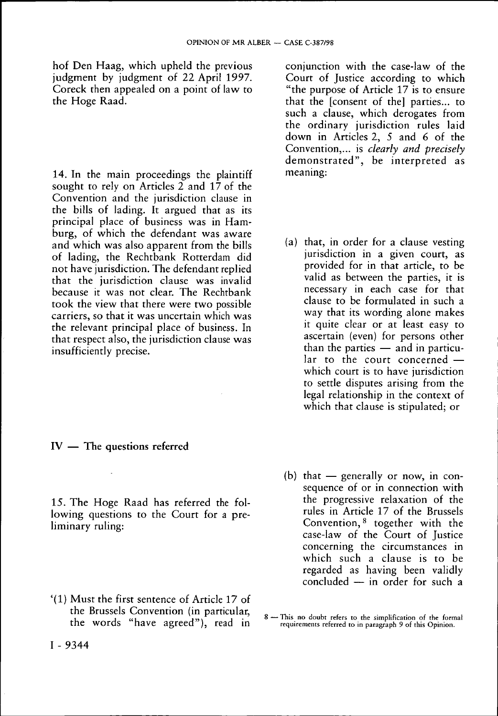hof Den Haag, which upheld the previous judgment by judgment of 22 April 1997. Coreck then appealed on a point of law to the Hoge Raad.

14. In the main proceedings the plaintiff sought to rely on Articles 2 and 17 of the Convention and the jurisdiction clause in the bills of lading. It argued that as its principal place of business was in Hamburg, of which the defendant was aware and which was also apparent from the bills of lading, the Rechtbank Rotterdam did not have jurisdiction. The defendant replied that the jurisdiction clause was invalid because it was not clear. The Rechtbank took the view that there were two possible carriers, so that it was uncertain which was the relevant principal place of business. In that respect also, the jurisdiction clause was insufficiently precise.

### IV — The questions referred

15. The Hoge Raad has referred the following questions to the Court for a preliminary ruling:

'(1) Must the first sentence of Article 17 of the Brussels Convention (in particular, the words "have agreed"), read in conjunction with the case-law of the Court of Justice according to which "the purpose of Article 17 is to ensure that the [consent of the] parties... to such a clause, which derogates from the ordinary jurisdiction rules laid down in Articles 2, 5 and 6 of the Convention,... is *clearly and precisely*  demonstrated", be interpreted as meaning:

- (a) that, in order for a clause vesting jurisdiction in a given court, as provided for in that article, to be valid as between the parties, it is necessary in each case for that clause to be formulated in such a way that its wording alone makes it quite clear or at least easy to ascertain (even) for persons other than the parties — and in particular to the court concerned which court is to have jurisdiction to settle disputes arising from the legal relationship in the context of which that clause is stipulated; or
- (b) that generally or now, in consequence of or in connection with the progressive relaxation of the rules in Article 17 of the Brussels Convention, 8 together with the case-law of the Court of Justice concerning the circumstances in which such a clause is to be regarded as having been validly concluded — in order for such a

I - 9344

<sup>8 —</sup> This no doubt refers to the simplification of the formal requirements referred to in paragraph 9 of this Opinion.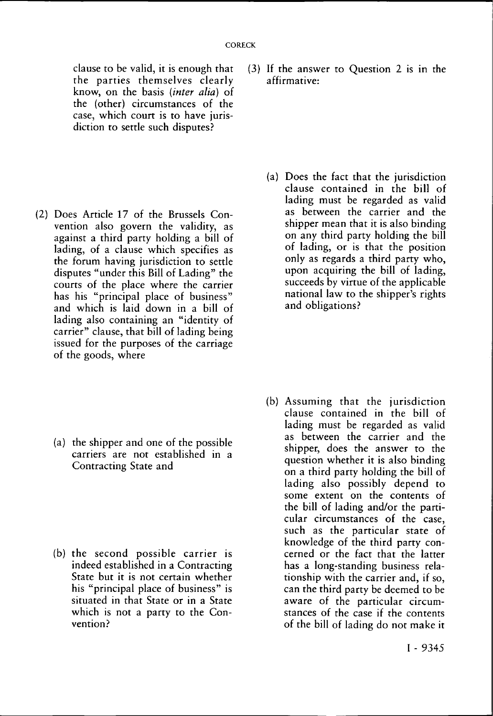clause to be valid, it is enough that the parties themselves clearly know, on the basis *(inter alia)* of the (other) circumstances of the case, which court is to have jurisdiction to settle such disputes?

(2) Does Article 17 of the Brussels Convention also govern the validity, as against a third party holding a bill of lading, of a clause which specifies as the forum having jurisdiction to settle disputes "under this Bill of Lading" the courts of the place where the carrier has his "principal place of business" and which is laid down in a bill of lading also containing an "identity of carrier" clause, that bill of lading being issued for the purposes of the carriage of the goods, where

(3) If the answer to Question 2 is in the affirmative:

(a) Does the fact that the jurisdiction clause contained in the bill of lading must be regarded as valid as between the carrier and the shipper mean that it is also binding on any third party holding the bill of lading, or is that the position only as regards a third party who, upon acquiring the bill of lading, succeeds by virtue of the applicable national law to the shipper's rights and obligations?

(a) the shipper and one of the possible carriers are not established in a Contracting State and

- (b) the second possible carrier is indeed established in a Contracting State but it is not certain whether his "principal place of business" is situated in that State or in a State which is not a party to the Convention?
- (b) Assuming that the jurisdiction clause contained in the bill of lading must be regarded as valid as between the carrier and the shipper, does the answer to the question whether it is also binding on a third party holding the bill of lading also possibly depend to some extent on the contents of the bill of lading and/or the particular circumstances of the case, such as the particular state of knowledge of the third party concerned or the fact that the latter has a long-standing business relationship with the carrier and, if so, can the third party be deemed to be aware of the particular circumstances of the case if the contents of the bill of lading do not make it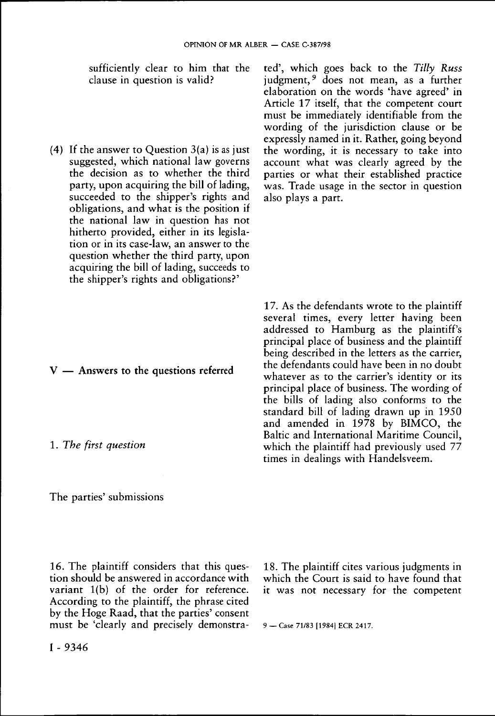sufficiently clear to him that the clause in question is valid?

(4) If the answer to Question  $3(a)$  is as just suggested, which national law governs the decision as to whether the third party, upon acquiring the bill of lading, succeeded to the shipper's rights and obligations, and what is the position if the national law in question has not hitherto provided, either in its legislation or in its case-law, an answer to the question whether the third party, upon acquiring the bill of lading, succeeds to the shipper's rights and obligations?'

V — Answers to the questions referred

1. *The first question* 

The parties' submissions

16. The plaintiff considers that this question should be answered in accordance with variant 1(b) of the order for reference. According to the plaintiff, the phrase cited by the Hoge Raad, that the parties' consent must be 'clearly and precisely demonstra-

I - 9346

ted', which goes back to the *Tilly Russ*  judgment,<sup>9</sup> does not mean, as a further elaboration on the words 'have agreed' in Article 17 itself, that the competent court must be immediately identifiable from the wording of the jurisdiction clause or be expressly named in it. Rather, going beyond the wording, it is necessary to take into account what was clearly agreed by the parties or what their established practice was. Trade usage in the sector in question also plays a part.

17. As the defendants wrote to the plaintiff several times, every letter having been addressed to Hamburg as the plaintiff's principal place of business and the plaintiff being described in the letters as the carrier, the defendants could have been in no doubt whatever as to the carrier's identity or its principal place of business. The wording of the bills of lading also conforms to the standard bill of lading drawn up in 1950 and amended in 1978 by BIMCO, the Baltic and International Maritime Council, which the plaintiff had previously used 77 times in dealings with Handelsveem.

18. The plaintiff cites various judgments in which the Court is said to have found that it was not necessary for the competent

9 — Case 71/83 [1984] ECR 2417.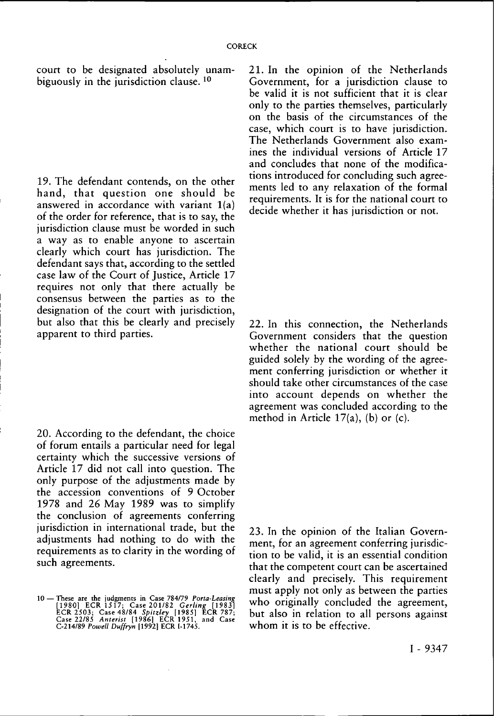court to be designated absolutely unambiguously in the jurisdiction clause.<sup>10</sup>

19. The defendant contends, on the other hand, that question one should be answered in accordance with variant 1(a) of the order for reference, that is to say, the jurisdiction clause must be worded in such a way as to enable anyone to ascertain clearly which court has jurisdiction. The defendant says that, according to the settled case law of the Court of Justice, Article 17 requires not only that there actually be consensus between the parties as to the designation of the court with jurisdiction, but also that this be clearly and precisely apparent to third parties.

20. According to the defendant, the choice of forum entails a particular need for legal certainty which the successive versions of Article 17 did not call into question. The only purpose of the adjustments made by the accession conventions of 9 October 1978 and 26 May 1989 was to simplify the conclusion of agreements conferring jurisdiction in international trade, but the adjustments had nothing to do with the requirements as to clarity in the wording of such agreements.

21. In the opinion of the Netherlands Government, for a jurisdiction clause to be valid it is not sufficient that it is clear only to the parties themselves, particularly on the basis of the circumstances of the case, which court is to have jurisdiction. The Netherlands Government also examines the individual versions of Article 17 and concludes that none of the modifications introduced for concluding such agreements led to any relaxation of the formal requirements. It is for the national court to decide whether it has jurisdiction or not.

22. In this connection, the Netherlands Government considers that the question whether the national court should be guided solely by the wording of the agreement conferring jurisdiction or whether it should take other circumstances of the case into account depends on whether the agreement was concluded according to the method in Article 17(a), (b) or (c).

23. In the opinion of the Italian Government, for an agreement conferring jurisdiction to be valid, it is an essential condition that the competent court can be ascertained clearly and precisely. This requirement must apply not only as between the parties who originally concluded the agreement, but also in relation to all persons against whom it is to be effective.

<sup>10 –</sup> These are the judgments in Case 784/79 Porta-Leasing<br>
[1980] ECR 1517; Case 201/82 Gerling [1983]<br>
ECR 2503; Case 48/84 Spitzley [1985] ECR 787;<br>
Case 22/85 Anterist [1986] ECR 1951, and Case<br>
C-214/89 Powell Duffryn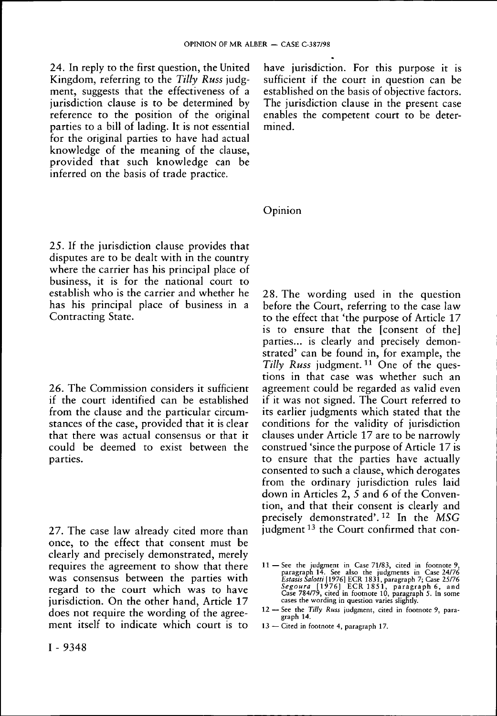24. In reply to the first question, the United Kingdom, referring to the *Tilly Russ* judgment, suggests that the effectiveness of a jurisdiction clause is to be determined by reference to the position of the original parties to a bill of lading. It is not essential for the original parties to have had actual knowledge of the meaning of the clause, provided that such knowledge can be inferred on the basis of trade practice.

25. If the jurisdiction clause provides that disputes are to be dealt with in the country where the carrier has his principal place of business, it is for the national court to establish who is the carrier and whether he has his principal place of business in a Contracting State.

26. The Commission considers it sufficient if the court identified can be established from the clause and the particular circumstances of the case, provided that it is clear that there was actual consensus or that it could be deemed to exist between the parties.

27. The case law already cited more than once, to the effect that consent must be clearly and precisely demonstrated, merely requires the agreement to show that there was consensus between the parties with regard to the court which was to have jurisdiction. On the other hand, Article 17 does not require the wording of the agreement itself to indicate which court is to

have jurisdiction. For this purpose it is sufficient if the court in question can be established on the basis of objective factors. The jurisdiction clause in the present case enables the competent court to be determined.

#### Opinion

28. The wording used in the question before the Court, referring to the case law to the effect that 'the purpose of Article 17 is to ensure that the [consent of the] parties... is clearly and precisely demonstrated' can be found in, for example, the Tilly Russ judgment.<sup>11</sup> One of the questions in that case was whether such an agreement could be regarded as valid even if it was not signed. The Court referred to its earlier judgments which stated that the conditions for the validity of jurisdiction clauses under Article 17 are to be narrowly construed 'since the purpose of Article 17 is to ensure that the parties have actually consented to such a clause, which derogates from the ordinary jurisdiction rules laid down in Articles 2, 5 and 6 of the Convention, and that their consent is clearly and precisely demonstrated'. <sup>12</sup> In the *MSG*  **judgment <sup>13</sup> the Court confirmed that eon-**

13 — Cited in footnote 4, paragraph 17.

**See the judgment in Case 71/83, cited in footnote 9;** paragraph 14. See also the judgments in Case 24/76 Segoura [1976] ECR 1851, paragraph 6, and case 76 *077*, encu in 100 mote 10, paragrap.

<sup>12 —</sup> See the *Tilly Russ* judgment, cited in footnote 9, paragraph 14.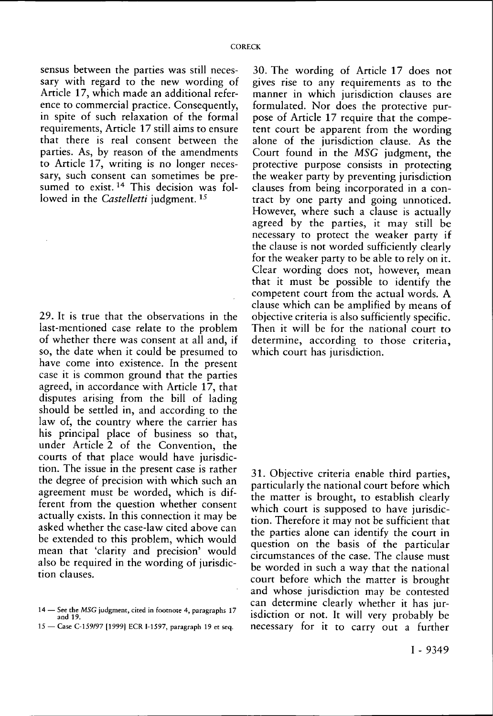sensus between the parties was still necessary with regard to the new wording of Article 17, which made an additional reference to commercial practice. Consequently, in spite of such relaxation of the formal requirements, Article 17 still aims to ensure that there is real consent between the parties. As, by reason of the amendments to Article 17, writing is no longer necessary, such consent can sometimes be presumed to exist.<sup>14</sup> This decision was followed in the Castelletti judgment.<sup>15</sup>

29. It is true that the observations in the last-mentioned case relate to the problem of whether there was consent at all and, if so, the date when it could be presumed to have come into existence. In the present case it is common ground that the parties agreed, in accordance with Article 17, that disputes arising from the bill of lading should be settled in, and according to the law of, the country where the carrier has his principal place of business so that, under Article 2 of the Convention, the courts of that place would have jurisdiction. The issue in the present case is rather the degree of precision with which such an agreement must be worded, which is different from the question whether consent actually exists. In this connection it may be asked whether the case-law cited above can be extended to this problem, which would mean that 'clarity and precision' would also be required in the wording of jurisdiction clauses.

30. The wording of Article 17 does not gives rise to any requirements as to the manner in which jurisdiction clauses are formulated. Nor does the protective purpose of Article 17 require that the competent court be apparent from the wording alone of the jurisdiction clause. As the Court found in the *MSG* judgment, the protective purpose consists in protecting the weaker party by preventing jurisdiction clauses from being incorporated in a contract by one party and going unnoticed. However, where such a clause is actually agreed by the parties, it may still be necessary to protect the weaker party if the clause is not worded sufficiently clearly for the weaker party to be able to rely on it. Clear wording does not, however, mean that it must be possible to identify the competent court from the actual words. A clause which can be amplified by means of objective criteria is also sufficiently specific. Then it will be for the national court to determine, according to those criteria, which court has jurisdiction.

31. Objective criteria enable third parties, particularly the national court before which the matter is brought, to establish clearly which court is supposed to have jurisdiction. Therefore it may not be sufficient that the parties alone can identify the court in question on the basis of the particular circumstances of the case. The clause must be worded in such a way that the national court before which the matter is brought and whose jurisdiction may be contested can determine clearly whether it has jurisdiction or not. It will very probably be necessary for it to carry out a further

<sup>14 —</sup> See the *MSG* judgment, cited in footnote 4, paragraphs 17 and 19.

<sup>15 —</sup> Case C-159/97 [1999] ECR I-1597, paragraph 19 et seq.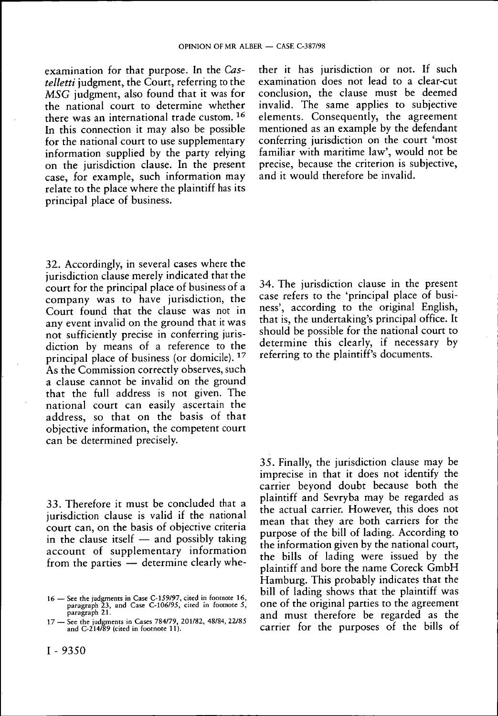examination for that purpose. In the *Castelletti* judgment, the Court, referring to the *MSG* judgment, also found that it was for the national court to determine whether there was an international trade custom.<sup>16</sup> In this connection it may also be possible for the national court to use supplementary information supplied by the party relying on the jurisdiction clause. In the present case, for example, such information may relate to the place where the plaintiff has its principal place of business.

32. Accordingly, in several cases where the jurisdiction clause merely indicated that the court for the principal place of business of a company was to have jurisdiction, the Court found that the clause was not in any event invalid on the ground that it was not sufficiently precise in conferring jurisdiction by means of a reference to the principal place of business (or domicile).<sup>17</sup> As the Commission correctly observes, such a clause cannot be invalid on the ground that the full address is not given. The national court can easily ascertain the address, so that on the basis of that objective information, the competent court can be determined precisely.

33. Therefore it must be concluded that a jurisdiction clause is valid if the national court can, on the basis of objective criteria in the clause itself  $-$  and possibly taking account of supplementary information from the parties — determine clearly whe-

ther it has jurisdiction or not. If such examination does not lead to a clear-cut conclusion, the clause must be deemed invalid. The same applies to subjective elements. Consequently, the agreement mentioned as an example by the defendant conferring jurisdiction on the court 'most familiar with maritime law', would not be precise, because the criterion is subjective, and it would therefore be invalid.

34. The jurisdiction clause in the present case refers to the 'principal place of business', according to the original English, that is, the undertaking's principal office. It should be possible for the national court to determine this clearly, if necessary by referring to the plaintiff's documents.

35. Finally, the jurisdiction clause may be imprecise in that it does not identify the carrier beyond doubt because both the plaintiff and Sevryba may be regarded as the actual carrier. However, this does not mean that they are both carriers for the purpose of the bill of lading. According to the information given by the national court, the bills of lading were issued by the plaintiff and bore the name Coreck GmbH Hamburg. This probably indicates that the bill of lading shows that the plaintiff was one of the original parties to the agreement and must therefore be regarded as the carrier for the purposes of the bills of

<sup>16 —</sup> See the judgments in Case C-159/97, cited in footnote 16, paragraph 23, and Case C-106/95, cited in footnote 5, paragraph 21.

<sup>17 —</sup> See the judgments in Cases 784/79, 201/82, 48/84, 22/85 and C-214/89 (cited in footnote 11).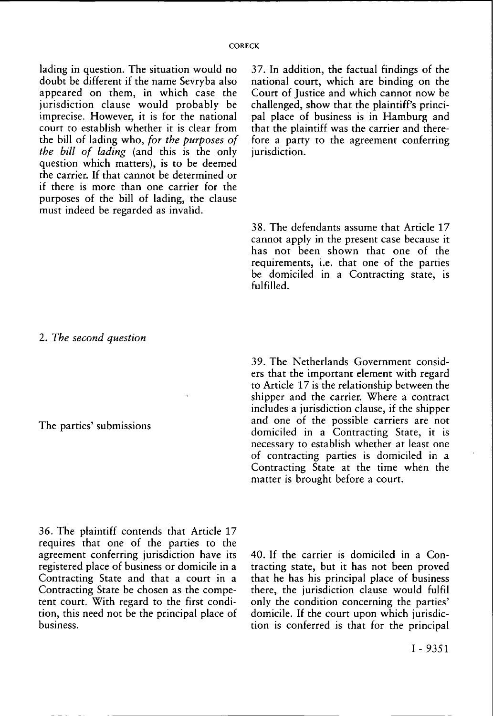lading in question. The situation would no doubt be different if the name Sevryba also appeared on them, in which case the jurisdiction clause would probably be imprecise. However, it is for the national court to establish whether it is clear from the bill of lading who, *for the purposes of the bill of lading* (and this is the only question which matters), is to be deemed the carrier. If that cannot be determined or if there is more than one carrier for the purposes of the bill of lading, the clause must indeed be regarded as invalid.

37. In addition, the factual findings of the national court, which are binding on the Court of Justice and which cannot now be challenged, show that the plaintiff's principal place of business is in Hamburg and that the plaintiff was the carrier and therefore a party to the agreement conferring jurisdiction.

38. The defendants assume that Article 17 cannot apply in the present case because it has not been shown that one of the requirements, i.e. that one of the parties be domiciled in a Contracting state, is fulfilled.

2. *The second question* 

The parties' submissions

36. The plaintiff contends that Article 17 requires that one of the parties to the agreement conferring jurisdiction have its registered place of business or domicile in a Contracting State and that a court in a Contracting State be chosen as the competent court. With regard to the first condition, this need not be the principal place of business.

39. The Netherlands Government considers that the important element with regard to Article 17 is the relationship between the shipper and the carrier. Where a contract includes a jurisdiction clause, if the shipper and one of the possible carriers are not domiciled in a Contracting State, it is necessary to establish whether at least one of contracting parties is domiciled in a Contracting State at the time when the matter is brought before a court.

40. If the carrier is domiciled in a Contracting state, but it has not been proved that he has his principal place of business there, the jurisdiction clause would fulfil only the condition concerning the parties' domicile. If the court upon which jurisdiction is conferred is that for the principal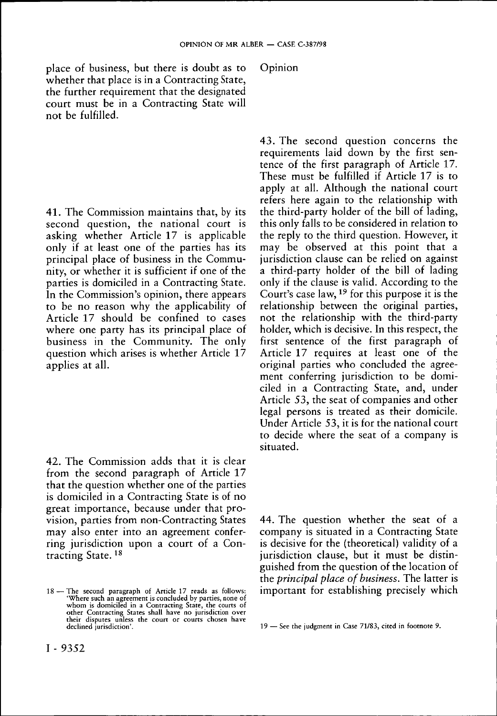place of business, but there is doubt as to whether that place is in a Contracting State, the further requirement that the designated court must be in a Contracting State will not be fulfilled.

41. The Commission maintains that, by its second question, the national court is asking whether Article 17 is applicable only if at least one of the parties has its principal place of business in the Community, or whether it is sufficient if one of the parties is domiciled in a Contracting State. In the Commission's opinion, there appears to be no reason why the applicability of Article 17 should be confined to cases where one party has its principal place of business in the Community. The only question which arises is whether Article 17 applies at all.

42. The Commission adds that it is clear from the second paragraph of Article 17 that the question whether one of the parties is domiciled in a Contracting State is of no great importance, because under that provision, parties from non-Contracting States may also enter into an agreement conferring jurisdiction upon a court of a Contracting State.<sup>18</sup>

Opinion

43. The second question concerns the requirements laid down by the first sentence of the first paragraph of Article 17. These must be fulfilled if Article 17 is to apply at all. Although the national court refers here again to the relationship with the third-party holder of the bill of lading, this only falls to be considered in relation to the reply to the third question. However, it may be observed at this point that a jurisdiction clause can be relied on against a third-party holder of the bill of lading only if the clause is valid. According to the Court's case law,  $19$  for this purpose it is the relationship between the original parties, not the relationship with the third-party holder, which is decisive. In this respect, the first sentence of the first paragraph of Article 17 requires at least one of the original parties who concluded the agreement conferring jurisdiction to be domiciled in a Contracting State, and, under Article 53, the seat of companies and other legal persons is treated as their domicile. Under Article 53, it is for the national court to decide where the seat of a company is situated.

44. The question whether the seat of a company is situated in a Contracting State is decisive for the (theoretical) validity of a jurisdiction clause, but it must be distinguished from the question of the location of the *principal place of business.* The latter is 18 — The second paragraph of Article 17 reads as follows: important for establishing precisely which

<sup>&#</sup>x27;Where such an agreement is concluded by parties, none of whom is domiciled in a Contracting State, the courts of other Contracting States shall have no jurisdiction over their disputes unless the court or courts chosen have declined jurisdiction'. The court of courts choose the control of the judgment in Case 71/83, cited in footnote 9.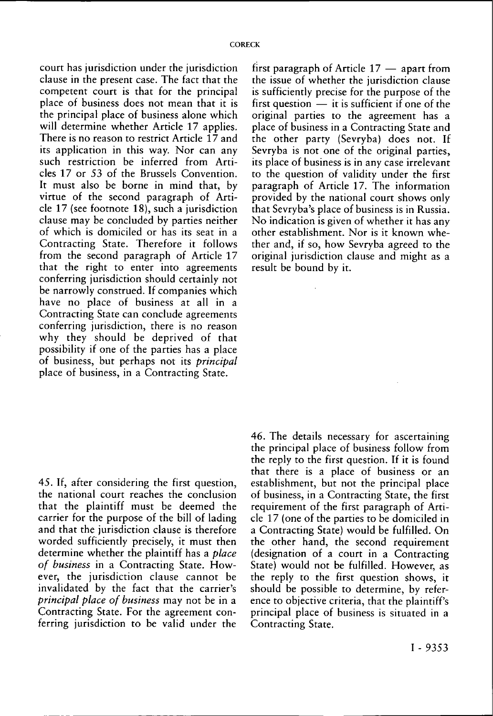court has jurisdiction under the jurisdiction clause in the present case. The fact that the competent court is that for the principal place of business does not mean that it is the principal place of business alone which will determine whether Article 17 applies. There is no reason to restrict Article  $17$  and its application in this way. Nor can any such restriction be inferred from Articles 17 or 53 of the Brussels Convention. It must also be borne in mind that, by virtue of the second paragraph of Article 17 (see footnote 18), such a jurisdiction clause may be concluded by parties neither of which is domiciled or has its seat in a Contracting State. Therefore it follows from the second paragraph of Article 17 that the right to enter into agreements conferring jurisdiction should certainly not be narrowly construed. If companies which have no place of business at all in a Contracting State can conclude agreements conferring jurisdiction, there is no reason why they should be deprived of that possibility if one of the parties has a place of business, but perhaps not its *principal*  place of business, in a Contracting State.

45. If, after considering the first question, the national court reaches the conclusion that the plaintiff must be deemed the carrier for the purpose of the bill of lading and that the jurisdiction clause is therefore worded sufficiently precisely, it must then determine whether the plaintiff has a *place of business* in a Contracting State. However, the jurisdiction clause cannot be invalidated by the fact that the carrier's *principal place of business* may not be in a Contracting State. For the agreement conferring jurisdiction to be valid under the

first paragraph of Article 17 — apart from the issue of whether the jurisdiction clause is sufficiently precise for the purpose of the first question  $-$  it is sufficient if one of the original parties to the agreement has a place of business in a Contracting State and the other party (Sevryba) does not. If Sevryba is not one of the original parties, its place of business is in any case irrelevant to the question of validity under the first paragraph of Article 17. The information provided by the national court shows only that Sevryba's place of business is in Russia. No indication is given of whether it has any other establishment. Nor is it known whether and, if so, how Sevryba agreed to the original jurisdiction clause and might as a result be bound by it.

46. The details necessary for ascertaining the principal place of business follow from the reply to the first question. If it is found that there is a place of business or an establishment, but not the principal place of business, in a Contracting State, the first requirement of the first paragraph of Article 17 (one of the parties to be domiciled in a Contracting State) would be fulfilled. On the other hand, the second requirement (designation of a court in a Contracting State) would not be fulfilled. However, as the reply to the first question shows, it should be possible to determine, by reference to objective criteria, that the plaintiff's principal place of business is situated in a Contracting State.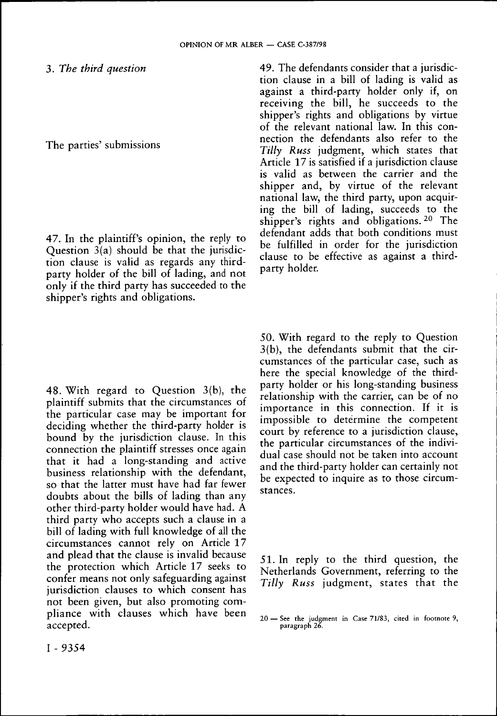3. *The third question* 

The parties' submissions

47. In the plaintiff's opinion, the reply to Question  $3(a)$  should be that the jurisdiction clause is valid as regards any thirdparty holder of the bill of lading, and not only if the third party has succeeded to the shipper's rights and obligations.

48. With regard to Question 3(b), the plaintiff submits that the circumstances of the particular case may be important for deciding whether the third-party holder is bound by the jurisdiction clause. In this connection the plaintiff stresses once again that it had a long-standing and active business relationship with the defendant, so that the latter must have had far fewer doubts about the bills of lading than any other third-party holder would have had. A third party who accepts such a clause in a bill of lading with full knowledge of all the circumstances cannot rely on Article 17 and plead that the clause is invalid because the protection which Article 17 seeks to confer means not only safeguarding against jurisdiction clauses to which consent has not been given, but also promoting compliance with clauses which have been accepted.

49. The defendants consider that a jurisdiction clause in a bill of lading is valid as against a third-party holder only if, on receiving the bill, he succeeds to the shipper's rights and obligations by virtue of the relevant national law. In this connection the defendants also refer to the *Tilly Russ* judgment, which states that Article 17 is satisfied if a jurisdiction clause is valid as between the carrier and the shipper and, by virtue of the relevant national law, the third party, upon acquiring the bill of lading, succeeds to the shipper's rights and obligations.<sup>20</sup> The defendant adds that both conditions must be fulfilled in order for the jurisdiction clause to be effective as against a thirdparty holder.

50. With regard to the reply to Question 3(b), the defendants submit that the circumstances of the particular case, such as here the special knowledge of the thirdparty holder or his long-standing business relationship with the carrier, can be of no importance in this connection. If it is impossible to determine the competent court by reference to a jurisdiction clause, the particular circumstances of the individual case should not be taken into account and the third-party holder can certainly not be expected to inquire as to those circumstances.

51. In reply to the third question, the Netherlands Government, referring to the *Tilly Russ* judgment, states that the

I - 9354

<sup>20 —</sup> See the judgment in Case 71/83, cited in footnote 9, paragraph 26.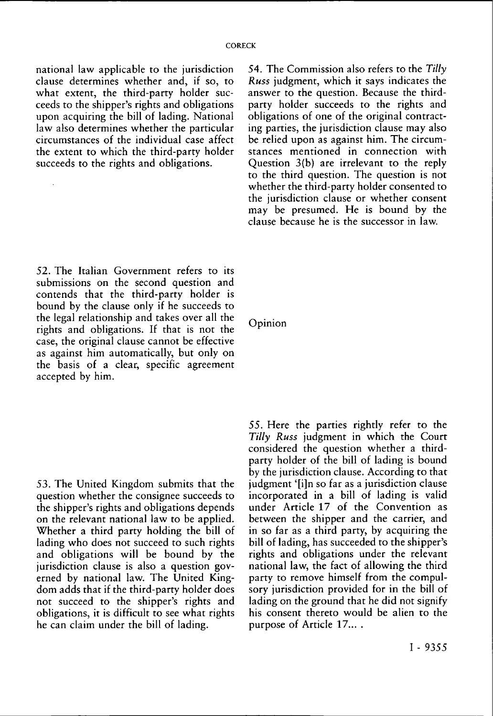national law applicable to the jurisdiction clause determines whether and, if so, to what extent, the third-party holder succeeds to the shipper's rights and obligations upon acquiring the bill of lading. National law also determines whether the particular circumstances of the individual case affect the extent to which the third-party holder succeeds to the rights and obligations.

52. The Italian Government refers to its submissions on the second question and contends that the third-party holder is bound by the clause only if he succeeds to the legal relationship and takes over all the rights and obligations. If that is not the case, the original clause cannot be effective as against him automatically, but only on the basis of a clear, specific agreement accepted by him.

53. The United Kingdom submits that the question whether the consignee succeeds to the shipper's rights and obligations depends on the relevant national law to be applied. Whether a third party holding the bill of lading who does not succeed to such rights and obligations will be bound by the jurisdiction clause is also a question governed by national law. The United Kingdom adds that if the third-party holder does not succeed to the shipper's rights and obligations, it is difficult to see what rights he can claim under the bill of lading.

54. The Commission also refers to the *Tilly Russ* judgment, which it says indicates the answer to the question. Because the thirdparty holder succeeds to the rights and obligations of one of the original contracting parties, the jurisdiction clause may also be relied upon as against him. The circumstances mentioned in connection with Question 3(b) are irrelevant to the reply to the third question. The question is not whether the third-party holder consented to the jurisdiction clause or whether consent may be presumed. He is bound by the clause because he is the successor in law.

Opinion

55. Here the parties rightly refer to the *Tilly Russ* judgment in which the Court considered the question whether a thirdparty holder of the bill of lading is bound by the jurisdiction clause. According to that judgment '[i]n so far as a jurisdiction clause incorporated in a bill of lading is valid under Article 17 of the Convention as between the shipper and the carrier, and in so far as a third party, by acquiring the bill of lading, has succeeded to the shipper's rights and obligations under the relevant national law, the fact of allowing the third party to remove himself from the compulsory jurisdiction provided for in the bill of lading on the ground that he did not signify his consent thereto would be alien to the purpose of Article 17... .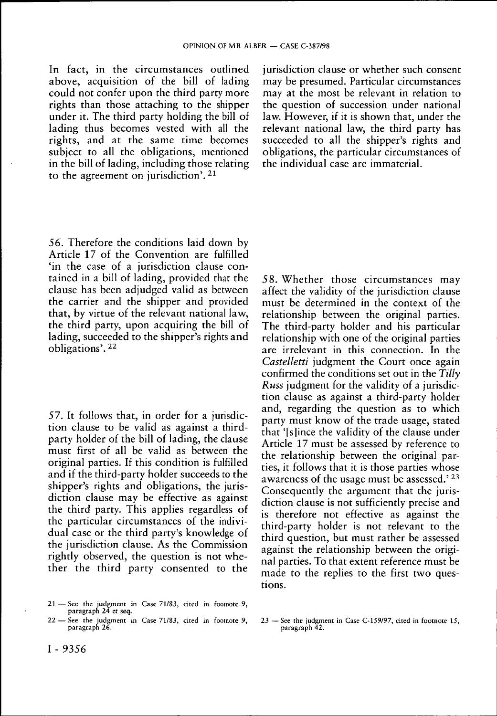In fact, in the circumstances outlined above, acquisition of the bill of lading could not confer upon the third party more rights than those attaching to the shipper under it. The third party holding the bill of lading thus becomes vested with all the rights, and at the same time becomes subject to all the obligations, mentioned in the bill of lading, including those relating to the agreement on jurisdiction'.<sup>21</sup>

jurisdiction clause or whether such consent may be presumed. Particular circumstances may at the most be relevant in relation to the question of succession under national law. However, if it is shown that, under the relevant national law, the third party has succeeded to all the shipper's rights and obligations, the particular circumstances of the individual case are immaterial.

*56.* Therefore the conditions laid down by Article 17 of the Convention are fulfilled 'in the case of a jurisdiction clause contained in a bill of lading, provided that the clause has been adjudged valid as between the carrier and the shipper and provided that, by virtue of the relevant national law, the third party, upon acquiring the bill of lading, succeeded to the shipper's rights and obligations'. 22

57. It follows that, in order for a jurisdiction clause to be valid as against a thirdparty holder of the bill of lading, the clause must first of all be valid as between the original parties. If this condition is fulfilled and if the third-party holder succeeds to the shipper's rights and obligations, the jurisdiction clause may be effective as against the third party. This applies regardless of the particular circumstances of the individual case or the third party's knowledge of the jurisdiction clause. As the Commission rightly observed, the question is not whether the third party consented to the

58. Whether those circumstances may affect the validity of the jurisdiction clause must be determined in the context of the relationship between the original parties. The third-party holder and his particular relationship with one of the original parties are irrelevant in this connection. In the *Castelletti* judgment the Court once again confirmed the conditions set out in the *Tilly Russ* judgment for the validity of a jurisdiction clause as against a third-party holder and, regarding the question as to which party must know of the trade usage, stated that '[s]ince the validity of the clause under Article 17 must be assessed by reference to the relationship between the original parties, it follows that it is those parties whose awareness of the usage must be assessed.<sup> $23$ </sup> Consequently the argument that the jurisdiction clause is not sufficiently precise and is therefore not effective as against the third-party holder is not relevant to the third question, but must rather be assessed against the relationship between the original parties. To that extent reference must be made to the replies to the first two questions.

<sup>21 —</sup> See the judgment in Case 71/83, cited in footnote 9, paragraph 24 et seq.

<sup>22 —</sup> See the judgment in Case 71/83, cited in footnote 9, paragraph 26.

<sup>23 —</sup> See the judgment in Case C-159/97, cited in footnote 15, paragraph 42.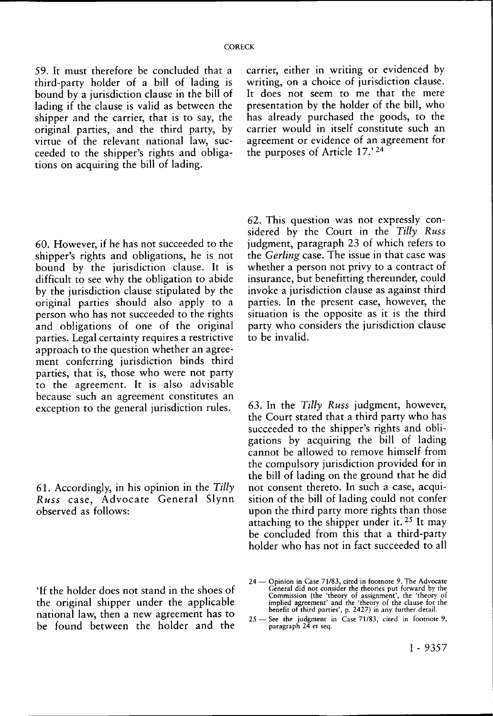59. It must therefore be concluded that a third-party holder of a bill of lading is bound by a jurisdiction clause in the bill of lading if the clause is valid as between the shipper and the carrier, that is to say, the original parties, and the third party, by virtue of the relevant national law, succeeded to the shipper's rights and obligations on acquiring the bill of lading.

60. However, if he has not succeeded to the shipper's rights and obligations, he is not bound by the jurisdiction clause. It is difficult to see why the obligation to abide by the jurisdiction clause stipulated by the original parties should also apply to a person who has not succeeded to the rights and obligations of one of the original parties. Legal certainty requires a restrictive approach to the question whether an agreement conferring jurisdiction binds third parties, that is, those who were not party to the agreement. It is also advisable because such an agreement constitutes an exception to the general jurisdiction rules.

61. Accordingly, in his opinion in the *Tilly Russ* case, Advocate General Slynn observed as follows:

'If the holder does not stand in the shoes of the original shipper under the applicable national law, then a new agreement has to be found between the holder and the

carrier, either in writing or evidenced by writing, on a choice of jurisdiction clause. It does not seem to me that the mere presentation by the holder of the bill, who has already purchased the goods, to the carrier would in itself constitute such an agreement or evidence of an agreement for the purposes of Article 17.'<sup>24</sup>

62. This question was not expressly considered by the Court in the *Tilly Russ*  judgment, paragraph 23 of which refers to the *Gerling* case. The issue in that case was whether a person not privy to a contract of insurance, but benefitting thereunder, could invoke a jurisdiction clause as against third parties. In the present case, however, the situation is the opposite as it is the third party who considers the jurisdiction clause to be invalid.

63. In the *Tilly Russ* judgment, however, the Court stated that a third party who has succeeded to the shipper's rights and obligations by acquiring the bill of lading cannot be allowed to remove himself from the compulsory jurisdiction provided for in the bill of lading on the ground that he did not consent thereto. In such a case, acquisition of the bill of lading could not confer upon the third party more rights than those attaching to the shipper under it.<sup>25</sup> It may be concluded from this that a third-party holder who has not in fact succeeded to all

<sup>24 —</sup> Opinion in Case 71/83, cited in footnote 9. The Advocate<br>General did not consider the theories put forward by the<br>Commission (the 'theory of assignment', the 'theory of<br>implied agreement' and the 'theory of the clause

<sup>25 —</sup> See the judgment in Case 71/83, cited in footnote 9, paragraph 24 et seq.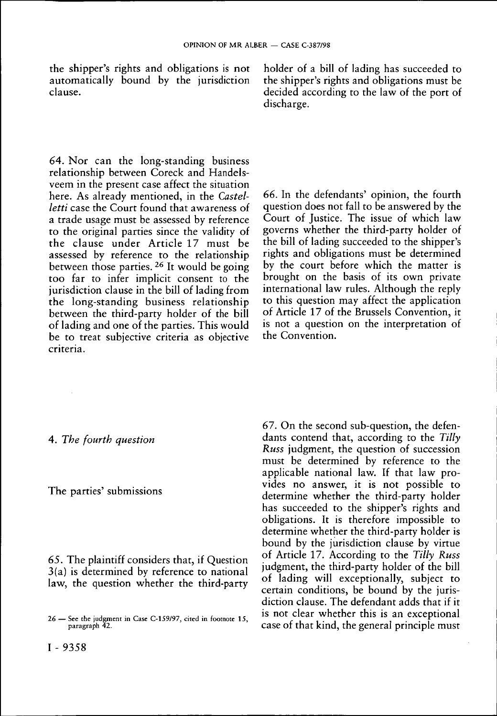the shipper's rights and obligations is not automatically bound by the jurisdiction clause.

64. Nor can the long-standing business relationship between Coreck and Handelsveem in the present case affect the situation here. As already mentioned, in the *Castelletti* case the Court found that awareness of a trade usage must be assessed by reference to the original parties since the validity of the clause under Article 17 must be assessed by reference to the relationship between those parties. <sup>26</sup> It would be going too far to infer implicit consent to the jurisdiction clause in the bill of lading from the long-standing business relationship between the third-party holder of the bill of lading and one of the parties. This would be to treat subjective criteria as objective criteria.

holder of a bill of lading has succeeded to the shipper's rights and obligations must be decided according to the law of the port of discharge.

*66.* In the defendants' opinion, the fourth question does not fall to be answered by the Court of Justice. The issue of which law governs whether the third-party holder of the bill of lading succeeded to the shipper's rights and obligations must be determined by the court before which the matter is brought on the basis of its own private international law rules. Although the reply to this question may affect the application of Article 17 of the Brussels Convention, it is not a question on the interpretation of the Convention.

# 4. *The fourth question*

The parties' submissions

65. The plaintiff considers that, if Question 3(a) is determined by reference to national law, the question whether the third-party

67. On the second sub-question, the defendants contend that, according to the *Tilly Russ* judgment, the question of succession must be determined by reference to the applicable national law. If that law provides no answer, it is not possible to determine whether the third-party holder has succeeded to the shipper's rights and obligations. It is therefore impossible to determine whether the third-party holder is bound by the jurisdiction clause by virtue of Article 17. According to the *Tilly Russ*  judgment, the third-party holder of the bill of lading will exceptionally, subject to certain conditions, be bound by the jurisdiction clause. The defendant adds that if it is not clear whether this is an exceptional

<sup>26 —</sup> See the judgment in Case C-159/97, cited in footnote 15,<br>
paragraph 42.<br>
Case of that kind, the general principle must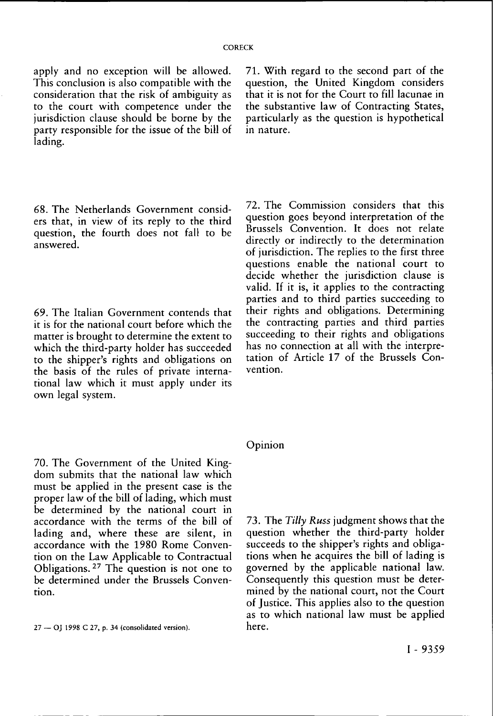apply and no exception will be allowed. This conclusion is also compatible with the consideration that the risk of ambiguity as to the court with competence under the jurisdiction clause should be borne by the party responsible for the issue of the bill of lading.

68. The Netherlands Government considers that, in view of its reply to the third question, the fourth does not fall to be answered.

69. The Italian Government contends that it is for the national court before which the matter is brought to determine the extent to which the third-party holder has succeeded to the shipper's rights and obligations on the basis of the rules of private international law which it must apply under its own legal system.

70. The Government of the United Kingdom submits that the national law which must be applied in the present case is the proper law of the bill of lading, which must be determined by the national court in accordance with the terms of the bill of lading and, where these are silent, in accordance with the 1980 Rome Convention on the Law Applicable to Contractual Obligations.<sup>27</sup> The question is not one to be determined under the Brussels Convention.

27 — OJ 1998 C 27, p. 34 (consolidated version). here.

71. With regard to the second part of the question, the United Kingdom considers that it is not for the Court to fill lacunae in the substantive law of Contracting States, particularly as the question is hypothetical in nature.

72. The Commission considers that this question goes beyond interpretation of the Brussels Convention. It does not relate directly or indirectly to the determination of jurisdiction. The replies to the first three questions enable the national court to decide whether the jurisdiction clause is valid. If it is, it applies to the contracting parties and to third parties succeeding to their rights and obligations. Determining the contracting parties and third parties succeeding to their rights and obligations has no connection at all with the interpretation of Article 17 of the Brussels Convention.

Opinion

73. The *Tilly Russ* judgment shows that the question whether the third-party holder succeeds to the shipper's rights and obligations when he acquires the bill of lading is governed by the applicable national law. Consequently this question must be determined by the national court, not the Court of Justice. This applies also to the question as to which national law must be applied